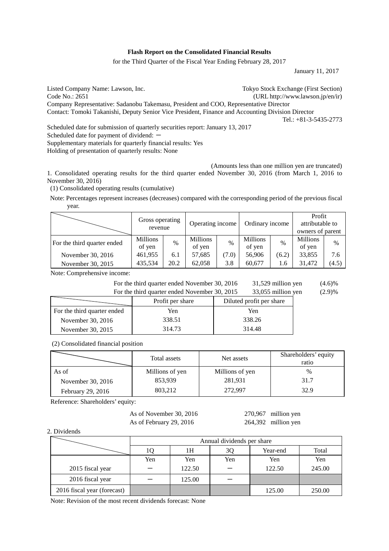### **Flash Report on the Consolidated Financial Results**

for the Third Quarter of the Fiscal Year Ending February 28, 2017

January 11, 2017

Listed Company Name: Lawson, Inc. Tokyo Stock Exchange (First Section) Code No.: 2651 (URL http://www.lawson.jp/en/ir) Company Representative: Sadanobu Takemasu, President and COO, Representative Director Contact: Tomoki Takanishi, Deputy Senior Vice President, Finance and Accounting Division Director Tel.: +81-3-5435-2773 Scheduled date for submission of quarterly securities report: January 13, 2017

Scheduled date for payment of dividend:  $-$ 

Supplementary materials for quarterly financial results: Yes

Holding of presentation of quarterly results: None

(Amounts less than one million yen are truncated)

1. Consolidated operating results for the third quarter ended November 30, 2016 (from March 1, 2016 to November 30, 2016)

(1) Consolidated operating results (cumulative)

Note: Percentages represent increases (decreases) compared with the corresponding period of the previous fiscal year.

|                             | Gross operating<br>revenue |      | Operating income          |               | Ordinary income    |       | Profit<br>attributable to<br>owners of parent |       |
|-----------------------------|----------------------------|------|---------------------------|---------------|--------------------|-------|-----------------------------------------------|-------|
| For the third quarter ended | <b>Millions</b><br>of yen  | $\%$ | <b>Millions</b><br>of yen | $\frac{0}{0}$ | Millions<br>of yen | $\%$  | Millions<br>of yen                            | $\%$  |
| November 30, 2016           | 461,955                    | 6.1  | 57,685                    | (7.0)         | 56,906             | (6.2) | 33,855                                        | 7.6   |
| November 30, 2015           | 435,534                    | 20.2 | 62,058                    | 3.8           | 60,677             | 1.6   | 31,472                                        | (4.5) |

Note: Comprehensive income:

| For the third quarter ended November 30, 2016 | 31,529 million yen | $(4.6)\%$ |
|-----------------------------------------------|--------------------|-----------|
| For the third quarter ended November 30, 2015 | 33,055 million yen | (2.9)%    |

| I of the time quarter ended FOVenfoel 50, 2015<br>$55,055$ miniton you |                                              |        |  |  |  |  |
|------------------------------------------------------------------------|----------------------------------------------|--------|--|--|--|--|
|                                                                        | Diluted profit per share<br>Profit per share |        |  |  |  |  |
| For the third quarter ended                                            | Yen                                          | Yen    |  |  |  |  |
| November 30, 2016                                                      | 338.51                                       | 338.26 |  |  |  |  |
| November 30, 2015                                                      | 314.73                                       | 314.48 |  |  |  |  |

(2) Consolidated financial position

|                   | Total assets    | Net assets      | Shareholders' equity<br>ratio |
|-------------------|-----------------|-----------------|-------------------------------|
| As of             | Millions of yen | Millions of yen | $\%$                          |
| November 30, 2016 | 853,939         | 281,931         | 31.7                          |
| February 29, 2016 | 803,212         | 272,997         | 32.9                          |

Reference: Shareholders' equity:

As of November 30, 2016 270,967 million yen As of February 29, 2016 264,392 million yen

2. Dividends

|                             | Annual dividends per share |        |     |          |        |  |
|-----------------------------|----------------------------|--------|-----|----------|--------|--|
|                             | ' Q                        | 1Η     | 3Q  | Year-end | Total  |  |
|                             | Yen                        | Yen    | Yen | Yen      | Yen    |  |
| 2015 fiscal year            |                            | 122.50 |     | 122.50   | 245.00 |  |
| 2016 fiscal year            |                            | 125.00 |     |          |        |  |
| 2016 fiscal year (forecast) |                            |        |     | 125.00   | 250.00 |  |

Note: Revision of the most recent dividends forecast: None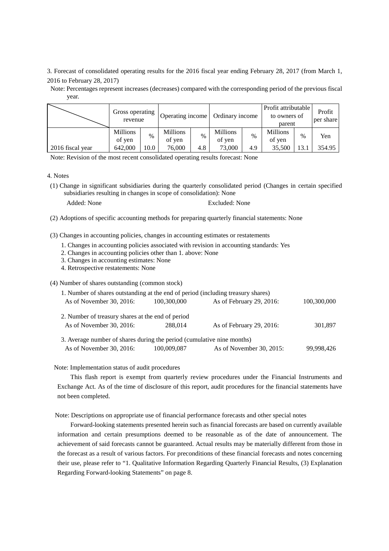3. Forecast of consolidated operating results for the 2016 fiscal year ending February 28, 2017 (from March 1, 2016 to February 28, 2017)

Note: Percentages represent increases (decreases) compared with the corresponding period of the previous fiscal year.

|                  | Gross operating<br>revenue |      | Operating income   |               | Ordinary income    |      | Profit attributable<br>to owners of<br>parent |               | Profit<br>per share |
|------------------|----------------------------|------|--------------------|---------------|--------------------|------|-----------------------------------------------|---------------|---------------------|
|                  | <b>Millions</b><br>of yen  | $\%$ | Millions<br>of yen | $\frac{0}{0}$ | Millions<br>of yen | $\%$ | <b>Millions</b><br>of yen                     | $\frac{0}{0}$ | Yen                 |
| 2016 fiscal year | 642,000                    | 10.0 | 76,000             | 4.8           | 73,000             | 4.9  | 35,500                                        | .3.1          | 354.95              |

Note: Revision of the most recent consolidated operating results forecast: None

#### 4. Notes

(1) Change in significant subsidiaries during the quarterly consolidated period (Changes in certain specified subsidiaries resulting in changes in scope of consolidation): None

| Added: Non |  |  |
|------------|--|--|
|------------|--|--|

e Excluded: None

(2) Adoptions of specific accounting methods for preparing quarterly financial statements: None

(3) Changes in accounting policies, changes in accounting estimates or restatements

- 1. Changes in accounting policies associated with revision in accounting standards: Yes
- 2. Changes in accounting policies other than 1. above: None
- 3. Changes in accounting estimates: None
- 4. Retrospective restatements: None

(4) Number of shares outstanding (common stock)

| 1. Number of shares outstanding at the end of period (including treasury shares) |             |                          |             |
|----------------------------------------------------------------------------------|-------------|--------------------------|-------------|
| As of November 30, 2016:                                                         | 100,300,000 | As of February 29, 2016: | 100,300,000 |
| 2. Number of treasury shares at the end of period<br>As of November 30, 2016:    | 288.014     | As of February 29, 2016: | 301,897     |
| 3. Average number of shares during the period (cumulative nine months)           |             |                          |             |
| As of November 30, 2016:                                                         | 100,009,087 | As of November 30, 2015: | 99,998,426  |

## Note: Implementation status of audit procedures

This flash report is exempt from quarterly review procedures under the Financial Instruments and Exchange Act. As of the time of disclosure of this report, audit procedures for the financial statements have not been completed.

Note: Descriptions on appropriate use of financial performance forecasts and other special notes

Forward-looking statements presented herein such as financial forecasts are based on currently available information and certain presumptions deemed to be reasonable as of the date of announcement. The achievement of said forecasts cannot be guaranteed. Actual results may be materially different from those in the forecast as a result of various factors. For preconditions of these financial forecasts and notes concerning their use, please refer to "1. Qualitative Information Regarding Quarterly Financial Results, (3) Explanation Regarding Forward-looking Statements" on page 8.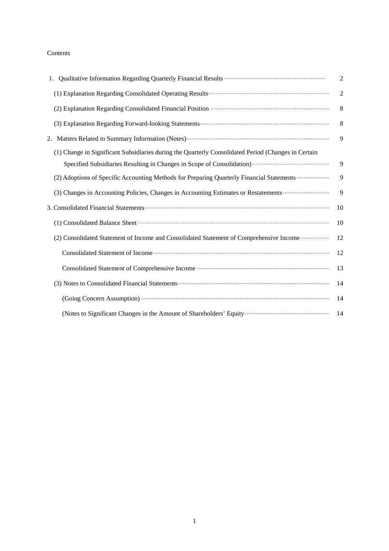## Contents

|                                                                                                     | $\overline{2}$ |
|-----------------------------------------------------------------------------------------------------|----------------|
|                                                                                                     | $\sqrt{2}$     |
|                                                                                                     | 8              |
|                                                                                                     | 8              |
|                                                                                                     | 9              |
| (1) Change in Significant Subsidiaries during the Quarterly Consolidated Period (Changes in Certain |                |
|                                                                                                     | 9              |
| (2) Adoptions of Specific Accounting Methods for Preparing Quarterly Financial Statements           | 9              |
| (3) Changes in Accounting Policies, Changes in Accounting Estimates or Restatements                 | 9              |
|                                                                                                     | 10             |
|                                                                                                     | 10             |
| (2) Consolidated Statement of Income and Consolidated Statement of Comprehensive Income             | 12             |
|                                                                                                     | 12             |
|                                                                                                     | 13             |
|                                                                                                     | 14             |
| (Going Concern Assumption) <b>Manufacture 1966</b> (Going Concern Assumption)                       | 14             |
|                                                                                                     | 14             |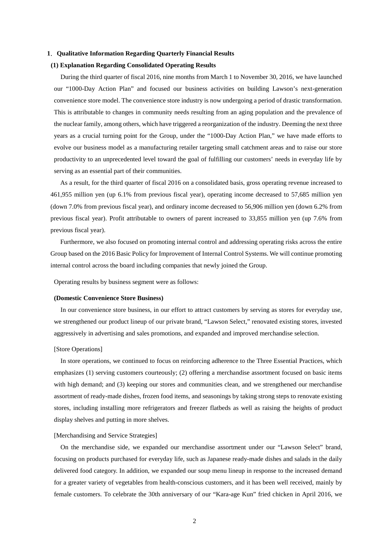## **1**.**Qualitative Information Regarding Quarterly Financial Results**

## **(1) Explanation Regarding Consolidated Operating Results**

During the third quarter of fiscal 2016, nine months from March 1 to November 30, 2016, we have launched our "1000-Day Action Plan" and focused our business activities on building Lawson's next-generation convenience store model. The convenience store industry is now undergoing a period of drastic transformation. This is attributable to changes in community needs resulting from an aging population and the prevalence of the nuclear family, among others, which have triggered a reorganization of the industry. Deeming the next three years as a crucial turning point for the Group, under the "1000-Day Action Plan," we have made efforts to evolve our business model as a manufacturing retailer targeting small catchment areas and to raise our store productivity to an unprecedented level toward the goal of fulfilling our customers' needs in everyday life by serving as an essential part of their communities.

As a result, for the third quarter of fiscal 2016 on a consolidated basis, gross operating revenue increased to 461,955 million yen (up 6.1% from previous fiscal year), operating income decreased to 57,685 million yen (down 7.0% from previous fiscal year), and ordinary income decreased to 56,906 million yen (down 6.2% from previous fiscal year). Profit attributable to owners of parent increased to 33,855 million yen (up 7.6% from previous fiscal year).

Furthermore, we also focused on promoting internal control and addressing operating risks across the entire Group based on the 2016 Basic Policy for Improvement of Internal Control Systems. We will continue promoting internal control across the board including companies that newly joined the Group.

Operating results by business segment were as follows:

## **(Domestic Convenience Store Business)**

In our convenience store business, in our effort to attract customers by serving as stores for everyday use, we strengthened our product lineup of our private brand, "Lawson Select," renovated existing stores, invested aggressively in advertising and sales promotions, and expanded and improved merchandise selection.

## [Store Operations]

In store operations, we continued to focus on reinforcing adherence to the Three Essential Practices, which emphasizes (1) serving customers courteously; (2) offering a merchandise assortment focused on basic items with high demand; and (3) keeping our stores and communities clean, and we strengthened our merchandise assortment of ready-made dishes, frozen food items, and seasonings by taking strong steps to renovate existing stores, including installing more refrigerators and freezer flatbeds as well as raising the heights of product display shelves and putting in more shelves.

## [Merchandising and Service Strategies]

On the merchandise side, we expanded our merchandise assortment under our "Lawson Select" brand, focusing on products purchased for everyday life, such as Japanese ready-made dishes and salads in the daily delivered food category. In addition, we expanded our soup menu lineup in response to the increased demand for a greater variety of vegetables from health-conscious customers, and it has been well received, mainly by female customers. To celebrate the 30th anniversary of our "Kara-age Kun" fried chicken in April 2016, we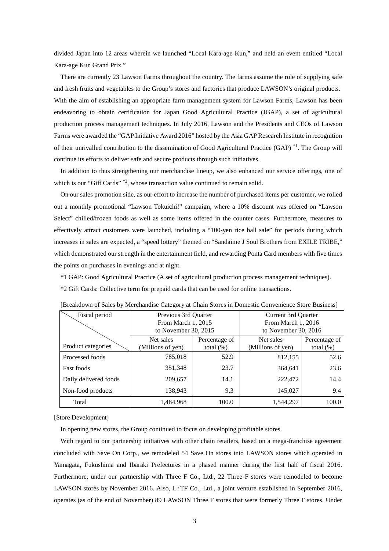divided Japan into 12 areas wherein we launched "Local Kara-age Kun," and held an event entitled "Local Kara-age Kun Grand Prix."

There are currently 23 Lawson Farms throughout the country. The farms assume the role of supplying safe and fresh fruits and vegetables to the Group's stores and factories that produce LAWSON's original products. With the aim of establishing an appropriate farm management system for Lawson Farms, Lawson has been endeavoring to obtain certification for Japan Good Agricultural Practice (JGAP), a set of agricultural production process management techniques. In July 2016, Lawson and the Presidents and CEOs of Lawson Farms were awarded the "GAP Initiative Award 2016" hosted by the Asia GAP Research Institute in recognition of their unrivalled contribution to the dissemination of Good Agricultural Practice (GAP) \*1. The Group will continue its efforts to deliver safe and secure products through such initiatives.

In addition to thus strengthening our merchandise lineup, we also enhanced our service offerings, one of which is our "Gift Cards" \*2, whose transaction value continued to remain solid.

On our sales promotion side, as our effort to increase the number of purchased items per customer, we rolled out a monthly promotional "Lawson Tokuichi!" campaign, where a 10% discount was offered on "Lawson Select" chilled/frozen foods as well as some items offered in the counter cases. Furthermore, measures to effectively attract customers were launched, including a "100-yen rice ball sale" for periods during which increases in sales are expected, a "speed lottery" themed on "Sandaime J Soul Brothers from EXILE TRIBE," which demonstrated our strength in the entertainment field, and rewarding Ponta Card members with five times the points on purchases in evenings and at night.

\*1 GAP: Good Agricultural Practice (A set of agricultural production process management techniques).

\*2 Gift Cards: Collective term for prepaid cards that can be used for online transactions.

| Fiscal period         | Previous 3rd Quarter   |               | Current 3rd Quarter  |               |  |  |
|-----------------------|------------------------|---------------|----------------------|---------------|--|--|
|                       | From March 1, 2015     |               | From March 1, 2016   |               |  |  |
|                       | to November 30, $2015$ |               | to November 30, 2016 |               |  |  |
|                       | Net sales              | Percentage of | Net sales            | Percentage of |  |  |
| Product categories    | (Millions of yen)      | total $(\%)$  | (Millions of yen)    | total $(\% )$ |  |  |
| Processed foods       | 785,018                | 52.9          | 812,155              | 52.6          |  |  |
| <b>Fast foods</b>     | 351,348                | 23.7          | 364,641              | 23.6          |  |  |
| Daily delivered foods | 209,657                | 14.1          | 222,472              | 14.4          |  |  |
| Non-food products     | 138,943                | 9.3           | 145,027              | 9.4           |  |  |
| Total                 | 1,484,968              | 100.0         | 1,544,297            | 100.0         |  |  |

[Breakdown of Sales by Merchandise Category at Chain Stores in Domestic Convenience Store Business]

[Store Development]

In opening new stores, the Group continued to focus on developing profitable stores.

With regard to our partnership initiatives with other chain retailers, based on a mega-franchise agreement concluded with Save On Corp., we remodeled 54 Save On stores into LAWSON stores which operated in Yamagata, Fukushima and Ibaraki Prefectures in a phased manner during the first half of fiscal 2016. Furthermore, under our partnership with Three F Co., Ltd., 22 Three F stores were remodeled to become LAWSON stores by November 2016. Also, L・TF Co., Ltd., a joint venture established in September 2016, operates (as of the end of November) 89 LAWSON Three F stores that were formerly Three F stores. Under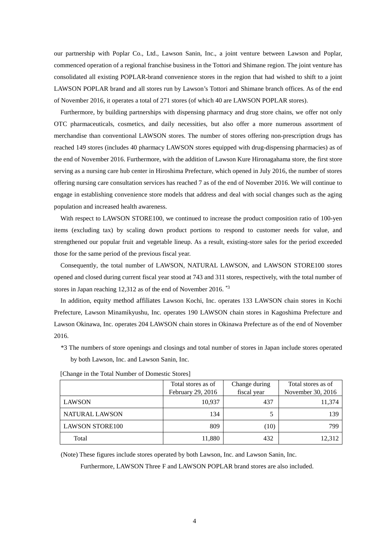our partnership with Poplar Co., Ltd., Lawson Sanin, Inc., a joint venture between Lawson and Poplar, commenced operation of a regional franchise business in the Tottori and Shimane region. The joint venture has consolidated all existing POPLAR-brand convenience stores in the region that had wished to shift to a joint LAWSON POPLAR brand and all stores run by Lawson's Tottori and Shimane branch offices. As of the end of November 2016, it operates a total of 271 stores (of which 40 are LAWSON POPLAR stores).

Furthermore, by building partnerships with dispensing pharmacy and drug store chains, we offer not only OTC pharmaceuticals, cosmetics, and daily necessities, but also offer a more numerous assortment of merchandise than conventional LAWSON stores. The number of stores offering non-prescription drugs has reached 149 stores (includes 40 pharmacy LAWSON stores equipped with drug-dispensing pharmacies) as of the end of November 2016. Furthermore, with the addition of Lawson Kure Hironagahama store, the first store serving as a nursing care hub center in Hiroshima Prefecture, which opened in July 2016, the number of stores offering nursing care consultation services has reached 7 as of the end of November 2016. We will continue to engage in establishing convenience store models that address and deal with social changes such as the aging population and increased health awareness.

With respect to LAWSON STORE100, we continued to increase the product composition ratio of 100-yen items (excluding tax) by scaling down product portions to respond to customer needs for value, and strengthened our popular fruit and vegetable lineup. As a result, existing-store sales for the period exceeded those for the same period of the previous fiscal year.

Consequently, the total number of LAWSON, NATURAL LAWSON, and LAWSON STORE100 stores opened and closed during current fiscal year stood at 743 and 311 stores, respectively, with the total number of stores in Japan reaching 12,312 as of the end of November 2016. \*3

In addition, equity method affiliates Lawson Kochi, Inc. operates 133 LAWSON chain stores in Kochi Prefecture, Lawson Minamikyushu, Inc. operates 190 LAWSON chain stores in Kagoshima Prefecture and Lawson Okinawa, Inc. operates 204 LAWSON chain stores in Okinawa Prefecture as of the end of November 2016.

\*3 The numbers of store openings and closings and total number of stores in Japan include stores operated by both Lawson, Inc. and Lawson Sanin, Inc.

|                        | Total stores as of<br>February 29, 2016 | Change during<br>fiscal year | Total stores as of<br>November 30, 2016 |
|------------------------|-----------------------------------------|------------------------------|-----------------------------------------|
| <b>LAWSON</b>          | 10,937                                  | 437                          | 11,374                                  |
| NATURAL LAWSON         | 134                                     |                              | 139                                     |
| <b>LAWSON STORE100</b> | 809                                     | (10)                         | 799                                     |
| Total                  | 11,880                                  | 432                          | 12,312                                  |

[Change in the Total Number of Domestic Stores]

(Note) These figures include stores operated by both Lawson, Inc. and Lawson Sanin, Inc.

Furthermore, LAWSON Three F and LAWSON POPLAR brand stores are also included.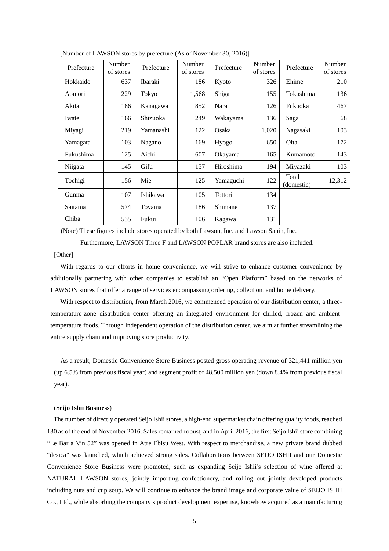| Prefecture | Number<br>of stores | Prefecture | <b>Number</b><br>of stores | Prefecture | Number<br>of stores | Prefecture          | Number<br>of stores |
|------------|---------------------|------------|----------------------------|------------|---------------------|---------------------|---------------------|
| Hokkaido   | 637                 | Ibaraki    | 186                        | Kyoto      | 326                 | Ehime               | 210                 |
| Aomori     | 229                 | Tokyo      | 1,568                      | Shiga      | 155                 | Tokushima           | 136                 |
| Akita      | 186                 | Kanagawa   | 852                        | Nara       | 126                 | Fukuoka             | 467                 |
| Iwate      | 166                 | Shizuoka   | 249                        | Wakayama   | 136                 | Saga                | 68                  |
| Miyagi     | 219                 | Yamanashi  | 122                        | Osaka      | 1,020               | Nagasaki            | 103                 |
| Yamagata   | 103                 | Nagano     | 169                        | Hyogo      | 650                 | Oita                | 172                 |
| Fukushima  | 125                 | Aichi      | 607                        | Okayama    | 165                 | Kumamoto            | 143                 |
| Niigata    | 145                 | Gifu       | 157                        | Hiroshima  | 194                 | Miyazaki            | 103                 |
| Tochigi    | 156                 | Mie        | 125                        | Yamaguchi  | 122                 | Total<br>(domestic) | 12,312              |
| Gunma      | 107                 | Ishikawa   | 105                        | Tottori    | 134                 |                     |                     |
| Saitama    | 574                 | Toyama     | 186                        | Shimane    | 137                 |                     |                     |
| Chiba      | 535                 | Fukui      | 106                        | Kagawa     | 131                 |                     |                     |

[Number of LAWSON stores by prefecture (As of November 30, 2016)]

(Note) These figures include stores operated by both Lawson, Inc. and Lawson Sanin, Inc.

Furthermore, LAWSON Three F and LAWSON POPLAR brand stores are also included.

## [Other]

With regards to our efforts in home convenience, we will strive to enhance customer convenience by additionally partnering with other companies to establish an "Open Platform" based on the networks of LAWSON stores that offer a range of services encompassing ordering, collection, and home delivery.

With respect to distribution, from March 2016, we commenced operation of our distribution center, a threetemperature-zone distribution center offering an integrated environment for chilled, frozen and ambienttemperature foods. Through independent operation of the distribution center, we aim at further streamlining the entire supply chain and improving store productivity.

As a result, Domestic Convenience Store Business posted gross operating revenue of 321,441 million yen (up 6.5% from previous fiscal year) and segment profit of 48,500 million yen (down 8.4% from previous fiscal year).

#### (**Seijo Ishii Business**)

The number of directly operated Seijo Ishii stores, a high-end supermarket chain offering quality foods, reached 130 as of the end of November 2016. Sales remained robust, and in April 2016, the first Seijo Ishii store combining "Le Bar a Vin 52" was opened in Atre Ebisu West. With respect to merchandise, a new private brand dubbed "desica" was launched, which achieved strong sales. Collaborations between SEIJO ISHII and our Domestic Convenience Store Business were promoted, such as expanding Seijo Ishii's selection of wine offered at NATURAL LAWSON stores, jointly importing confectionery, and rolling out jointly developed products including nuts and cup soup. We will continue to enhance the brand image and corporate value of SEIJO ISHII Co., Ltd., while absorbing the company's product development expertise, knowhow acquired as a manufacturing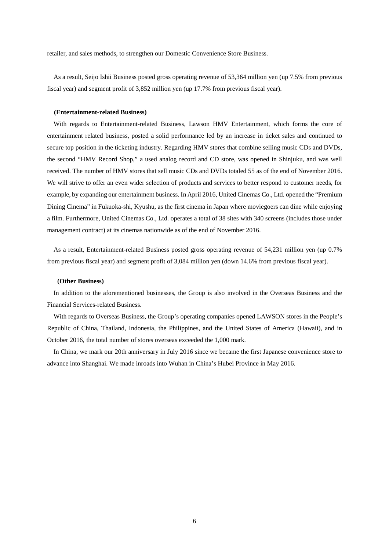retailer, and sales methods, to strengthen our Domestic Convenience Store Business.

As a result, Seijo Ishii Business posted gross operating revenue of 53,364 million yen (up 7.5% from previous fiscal year) and segment profit of 3,852 million yen (up 17.7% from previous fiscal year).

#### **(Entertainment-related Business)**

With regards to Entertainment-related Business, Lawson HMV Entertainment, which forms the core of entertainment related business, posted a solid performance led by an increase in ticket sales and continued to secure top position in the ticketing industry. Regarding HMV stores that combine selling music CDs and DVDs, the second "HMV Record Shop," a used analog record and CD store, was opened in Shinjuku, and was well received. The number of HMV stores that sell music CDs and DVDs totaled 55 as of the end of November 2016. We will strive to offer an even wider selection of products and services to better respond to customer needs, for example, by expanding our entertainment business. In April 2016, United Cinemas Co., Ltd. opened the "Premium Dining Cinema" in Fukuoka-shi, Kyushu, as the first cinema in Japan where moviegoers can dine while enjoying a film. Furthermore, United Cinemas Co., Ltd. operates a total of 38 sites with 340 screens (includes those under management contract) at its cinemas nationwide as of the end of November 2016.

As a result, Entertainment-related Business posted gross operating revenue of 54,231 million yen (up 0.7% from previous fiscal year) and segment profit of 3,084 million yen (down 14.6% from previous fiscal year).

#### **(Other Business)**

In addition to the aforementioned businesses, the Group is also involved in the Overseas Business and the Financial Services-related Business.

With regards to Overseas Business, the Group's operating companies opened LAWSON stores in the People's Republic of China, Thailand, Indonesia, the Philippines, and the United States of America (Hawaii), and in October 2016, the total number of stores overseas exceeded the 1,000 mark.

In China, we mark our 20th anniversary in July 2016 since we became the first Japanese convenience store to advance into Shanghai. We made inroads into Wuhan in China's Hubei Province in May 2016.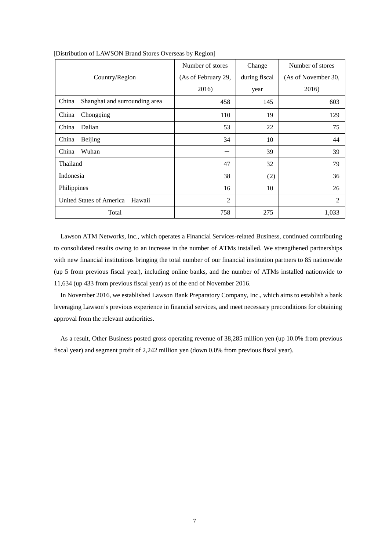|                                        | Number of stores    | Change        | Number of stores    |
|----------------------------------------|---------------------|---------------|---------------------|
| Country/Region                         | (As of February 29, | during fiscal | (As of November 30, |
|                                        | 2016)               | year          | 2016)               |
| China<br>Shanghai and surrounding area | 458                 | 145           | 603                 |
| Chongqing<br>China                     | 110                 | 19            | 129                 |
| Dalian<br>China                        | 53                  | 22            | 75                  |
| China<br><b>Beijing</b>                | 34                  | 10            | 44                  |
| China<br>Wuhan                         |                     | 39            | 39                  |
| Thailand                               | 47                  | 32            | 79                  |
| Indonesia                              | 38                  | (2)           | 36                  |
| Philippines                            | 16                  | 10            | 26                  |
| United States of America<br>Hawaii     | 2                   |               | $\overline{2}$      |
| Total                                  | 758                 | 275           | 1,033               |

## [Distribution of LAWSON Brand Stores Overseas by Region]

Lawson ATM Networks, Inc., which operates a Financial Services-related Business, continued contributing to consolidated results owing to an increase in the number of ATMs installed. We strengthened partnerships with new financial institutions bringing the total number of our financial institution partners to 85 nationwide (up 5 from previous fiscal year), including online banks, and the number of ATMs installed nationwide to 11,634 (up 433 from previous fiscal year) as of the end of November 2016.

In November 2016, we established Lawson Bank Preparatory Company, Inc., which aims to establish a bank leveraging Lawson's previous experience in financial services, and meet necessary preconditions for obtaining approval from the relevant authorities.

As a result, Other Business posted gross operating revenue of 38,285 million yen (up 10.0% from previous fiscal year) and segment profit of 2,242 million yen (down 0.0% from previous fiscal year).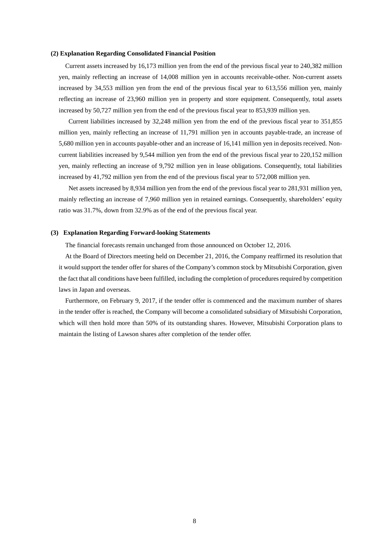### **(2) Explanation Regarding Consolidated Financial Position**

Current assets increased by 16,173 million yen from the end of the previous fiscal year to 240,382 million yen, mainly reflecting an increase of 14,008 million yen in accounts receivable-other. Non-current assets increased by 34,553 million yen from the end of the previous fiscal year to 613,556 million yen, mainly reflecting an increase of 23,960 million yen in property and store equipment. Consequently, total assets increased by 50,727 million yen from the end of the previous fiscal year to 853,939 million yen.

 Current liabilities increased by 32,248 million yen from the end of the previous fiscal year to 351,855 million yen, mainly reflecting an increase of 11,791 million yen in accounts payable-trade, an increase of 5,680 million yen in accounts payable-other and an increase of 16,141 million yen in deposits received. Noncurrent liabilities increased by 9,544 million yen from the end of the previous fiscal year to 220,152 million yen, mainly reflecting an increase of 9,792 million yen in lease obligations. Consequently, total liabilities increased by 41,792 million yen from the end of the previous fiscal year to 572,008 million yen.

 Net assets increased by 8,934 million yen from the end of the previous fiscal year to 281,931 million yen, mainly reflecting an increase of 7,960 million yen in retained earnings. Consequently, shareholders' equity ratio was 31.7%, down from 32.9% as of the end of the previous fiscal year.

#### **(3) Explanation Regarding Forward-looking Statements**

The financial forecasts remain unchanged from those announced on October 12, 2016.

At the Board of Directors meeting held on December 21, 2016, the Company reaffirmed its resolution that it would support the tender offer for shares of the Company's common stock by Mitsubishi Corporation, given the fact that all conditions have been fulfilled, including the completion of procedures required by competition laws in Japan and overseas.

Furthermore, on February 9, 2017, if the tender offer is commenced and the maximum number of shares in the tender offer is reached, the Company will become a consolidated subsidiary of Mitsubishi Corporation, which will then hold more than 50% of its outstanding shares. However, Mitsubishi Corporation plans to maintain the listing of Lawson shares after completion of the tender offer.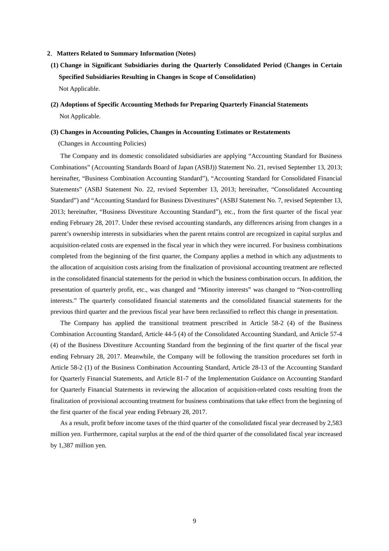## **2**.**Matters Related to Summary Information (Notes)**

- **(1) Change in Significant Subsidiaries during the Quarterly Consolidated Period (Changes in Certain Specified Subsidiaries Resulting in Changes in Scope of Consolidation)**  Not Applicable.
- **(2) Adoptions of Specific Accounting Methods for Preparing Quarterly Financial Statements**  Not Applicable.

### **(3) Changes in Accounting Policies, Changes in Accounting Estimates or Restatements**

(Changes in Accounting Policies)

The Company and its domestic consolidated subsidiaries are applying "Accounting Standard for Business Combinations" (Accounting Standards Board of Japan (ASBJ)) Statement No. 21, revised September 13, 2013; hereinafter, "Business Combination Accounting Standard"), "Accounting Standard for Consolidated Financial Statements" (ASBJ Statement No. 22, revised September 13, 2013; hereinafter, "Consolidated Accounting Standard") and "Accounting Standard for Business Divestitures" (ASBJ Statement No. 7, revised September 13, 2013; hereinafter, "Business Divestiture Accounting Standard"), etc., from the first quarter of the fiscal year ending February 28, 2017. Under these revised accounting standards, any differences arising from changes in a parent's ownership interests in subsidiaries when the parent retains control are recognized in capital surplus and acquisition-related costs are expensed in the fiscal year in which they were incurred. For business combinations completed from the beginning of the first quarter, the Company applies a method in which any adjustments to the allocation of acquisition costs arising from the finalization of provisional accounting treatment are reflected in the consolidated financial statements for the period in which the business combination occurs. In addition, the presentation of quarterly profit, etc., was changed and "Minority interests" was changed to "Non-controlling interests." The quarterly consolidated financial statements and the consolidated financial statements for the previous third quarter and the previous fiscal year have been reclassified to reflect this change in presentation.

The Company has applied the transitional treatment prescribed in Article 58-2 (4) of the Business Combination Accounting Standard, Article 44-5 (4) of the Consolidated Accounting Standard, and Article 57-4 (4) of the Business Divestiture Accounting Standard from the beginning of the first quarter of the fiscal year ending February 28, 2017. Meanwhile, the Company will be following the transition procedures set forth in Article 58-2 (1) of the Business Combination Accounting Standard, Article 28-13 of the Accounting Standard for Quarterly Financial Statements, and Article 81-7 of the Implementation Guidance on Accounting Standard for Quarterly Financial Statements in reviewing the allocation of acquisition-related costs resulting from the finalization of provisional accounting treatment for business combinations that take effect from the beginning of the first quarter of the fiscal year ending February 28, 2017.

As a result, profit before income taxes of the third quarter of the consolidated fiscal year decreased by 2,583 million yen. Furthermore, capital surplus at the end of the third quarter of the consolidated fiscal year increased by 1,387 million yen.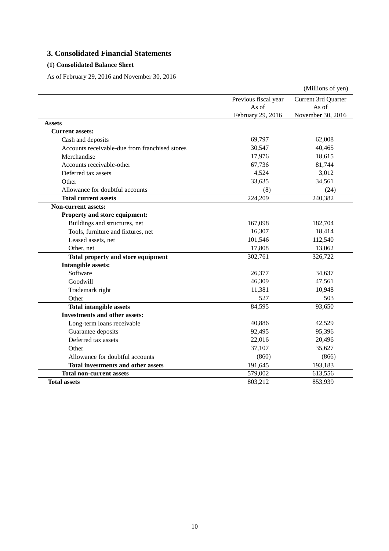# **3. Consolidated Financial Statements**

## **(1) Consolidated Balance Sheet**

As of February 29, 2016 and November 30, 2016

|                                                |                      | (Millions of yen)   |
|------------------------------------------------|----------------------|---------------------|
|                                                | Previous fiscal year | Current 3rd Quarter |
|                                                | As of                | As of               |
|                                                | February 29, 2016    | November 30, 2016   |
| Assets                                         |                      |                     |
| <b>Current assets:</b>                         |                      |                     |
| Cash and deposits                              | 69,797               | 62,008              |
| Accounts receivable-due from franchised stores | 30,547               | 40,465              |
| Merchandise                                    | 17,976               | 18,615              |
| Accounts receivable-other                      | 67,736               | 81,744              |
| Deferred tax assets                            | 4,524                | 3,012               |
| Other                                          | 33,635               | 34,561              |
| Allowance for doubtful accounts                | (8)                  | (24)                |
| <b>Total current assets</b>                    | 224,209              | 240,382             |
| <b>Non-current assets:</b>                     |                      |                     |
| Property and store equipment:                  |                      |                     |
| Buildings and structures, net                  | 167,098              | 182,704             |
| Tools, furniture and fixtures, net             | 16,307               | 18,414              |
| Leased assets, net                             | 101,546              | 112,540             |
| Other, net                                     | 17,808               | 13,062              |
| Total property and store equipment             | 302,761              | 326,722             |
| <b>Intangible assets:</b>                      |                      |                     |
| Software                                       | 26,377               | 34,637              |
| Goodwill                                       | 46,309               | 47,561              |
| Trademark right                                | 11,381               | 10,948              |
| Other                                          | 527                  | 503                 |
| <b>Total intangible assets</b>                 | 84,595               | 93,650              |
| <b>Investments and other assets:</b>           |                      |                     |
| Long-term loans receivable                     | 40,886               | 42,529              |
| Guarantee deposits                             | 92,495               | 95,396              |
| Deferred tax assets                            | 22,016               | 20,496              |
| Other                                          | 37,107               | 35,627              |
| Allowance for doubtful accounts                | (860)                | (866)               |
| <b>Total investments and other assets</b>      | 191,645              | 193,183             |
| <b>Total non-current assets</b>                | 579,002              | 613,556             |
| <b>Total assets</b>                            | 803,212              | 853,939             |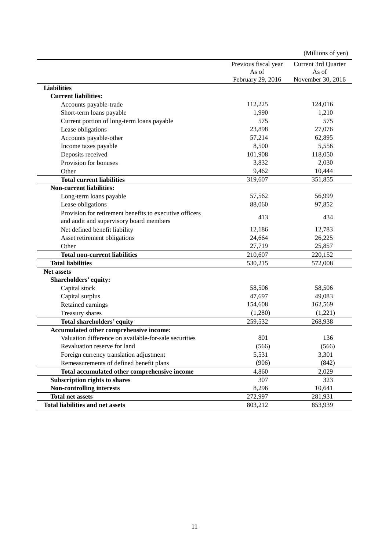|                                                         |                      | (Millions of yen)   |
|---------------------------------------------------------|----------------------|---------------------|
|                                                         | Previous fiscal year | Current 3rd Quarter |
|                                                         | As of                | As of               |
|                                                         | February 29, 2016    | November 30, 2016   |
| <b>Liabilities</b>                                      |                      |                     |
| <b>Current liabilities:</b>                             |                      |                     |
| Accounts payable-trade                                  | 112,225              | 124,016             |
| Short-term loans payable                                | 1,990                | 1,210               |
| Current portion of long-term loans payable              | 575                  | 575                 |
| Lease obligations                                       | 23,898               | 27,076              |
| Accounts payable-other                                  | 57,214               | 62,895              |
| Income taxes payable                                    | 8,500                | 5,556               |
| Deposits received                                       | 101,908              | 118,050             |
| Provision for bonuses                                   | 3,832                | 2,030               |
| Other                                                   | 9,462                | 10,444              |
| <b>Total current liabilities</b>                        | 319,607              | 351,855             |
| <b>Non-current liabilities:</b>                         |                      |                     |
| Long-term loans payable                                 | 57,562               | 56,999              |
| Lease obligations                                       | 88,060               | 97,852              |
| Provision for retirement benefits to executive officers |                      |                     |
| and audit and supervisory board members                 | 413                  | 434                 |
| Net defined benefit liability                           | 12,186               | 12,783              |
| Asset retirement obligations                            | 24,664               | 26,225              |
| Other                                                   | 27,719               | 25,857              |
| <b>Total non-current liabilities</b>                    | 210,607              | 220,152             |
| <b>Total liabilities</b>                                | 530,215              | 572,008             |
| <b>Net assets</b>                                       |                      |                     |
| Shareholders' equity:                                   |                      |                     |
| Capital stock                                           | 58,506               | 58,506              |
| Capital surplus                                         | 47,697               | 49,083              |
| Retained earnings                                       | 154,608              | 162,569             |
| Treasury shares                                         | (1,280)              | (1,221)             |
| Total shareholders' equity                              | 259,532              | 268,938             |
| Accumulated other comprehensive income:                 |                      |                     |
| Valuation difference on available-for-sale securities   | 801                  | 136                 |
| Revaluation reserve for land                            | (566)                | (566)               |
| Foreign currency translation adjustment                 | 5,531                | 3,301               |
| Remeasurements of defined benefit plans                 | (906)                | (842)               |
| Total accumulated other comprehensive income            | 4,860                | 2,029               |
| Subscription rights to shares                           | 307                  | 323                 |
| <b>Non-controlling interests</b>                        | 8,296                | 10,641              |
| <b>Total net assets</b>                                 | 272,997              | 281,931             |
| <b>Total liabilities and net assets</b>                 | 803,212              | 853,939             |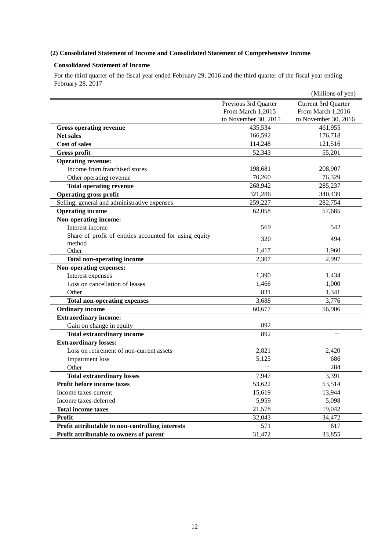## **(2) Consolidated Statement of Income and Consolidated Statement of Comprehensive Income**

## **Consolidated Statement of Income**

For the third quarter of the fiscal year ended February 29, 2016 and the third quarter of the fiscal year ending February 28, 2017

|                                                        |                      | (Millions of yen)    |
|--------------------------------------------------------|----------------------|----------------------|
|                                                        | Previous 3rd Quarter | Current 3rd Quarter  |
|                                                        | From March 1,2015    | From March 1,2016    |
|                                                        | to November 30, 2015 | to November 30, 2016 |
| <b>Gross operating revenue</b>                         | 435,534              | 461,955              |
| <b>Net sales</b>                                       | 166,592              | 176,718              |
| <b>Cost of sales</b>                                   | 114,248              | 121,516              |
| <b>Gross profit</b>                                    | 52,343               | 55,201               |
| <b>Operating revenue:</b>                              |                      |                      |
| Income from franchised stores                          | 198,681              | 208,907              |
| Other operating revenue                                | 70,260               | 76,329               |
| <b>Total operating revenue</b>                         | 268,942              | 285,237              |
| <b>Operating gross profit</b>                          | 321,286              | 340,439              |
| Selling, general and administrative expenses           | 259,227              | 282,754              |
| <b>Operating income</b>                                | 62,058               | 57,685               |
| Non-operating income:                                  |                      |                      |
| Interest income                                        | 569                  | 542                  |
| Share of profit of entities accounted for using equity | 320                  | 494                  |
| method                                                 |                      |                      |
| Other                                                  | 1,417                | 1,960                |
| <b>Total non-operating income</b>                      | 2,307                | 2,997                |
| Non-operating expenses:                                |                      |                      |
| Interest expenses                                      | 1,390                | 1,434                |
| Loss on cancellation of leases                         | 1,466                | 1,000                |
| Other                                                  | 831                  | 1,341                |
| <b>Total non-operating expenses</b>                    | 3,688                | 3,776                |
| <b>Ordinary income</b>                                 | 60,677               | 56,906               |
| <b>Extraordinary income:</b>                           |                      |                      |
| Gain on change in equity                               | 892                  |                      |
| <b>Total extraordinary income</b>                      | 892                  |                      |
| <b>Extraordinary losses:</b>                           |                      |                      |
| Loss on retirement of non-current assets               | 2,821                | 2,420                |
| Impairment loss                                        | 5,125                | 686                  |
| Other                                                  |                      | 284                  |
| <b>Total extraordinary losses</b>                      | 7,947                | 3,391                |
| Profit before income taxes                             | 53,622               | 53,514               |
| Income taxes-current                                   | 15,619               | 13,944               |
| Income taxes-deferred                                  | 5,959                | 5,098                |
| <b>Total income taxes</b>                              | 21,578               | 19,042               |
| Profit                                                 | 32,043               | 34,472               |
| Profit attributable to non-controlling interests       | 571                  | 617                  |
| Profit attributable to owners of parent                | 31,472               | 33,855               |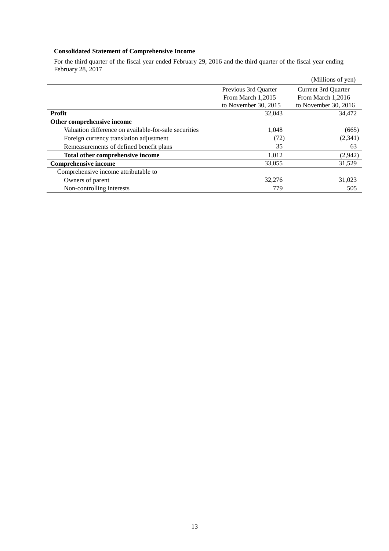# **Consolidated Statement of Comprehensive Income**

For the third quarter of the fiscal year ended February 29, 2016 and the third quarter of the fiscal year ending February 28, 2017

|                                                       |                      | (Millions of yen)    |
|-------------------------------------------------------|----------------------|----------------------|
|                                                       | Previous 3rd Quarter | Current 3rd Quarter  |
|                                                       | From March 1,2015    | From March 1,2016    |
|                                                       | to November 30, 2015 | to November 30, 2016 |
| <b>Profit</b>                                         | 32,043               | 34,472               |
| Other comprehensive income                            |                      |                      |
| Valuation difference on available-for-sale securities | 1,048                | (665)                |
| Foreign currency translation adjustment               | (72)                 | (2,341)              |
| Remeasurements of defined benefit plans               | 35                   | 63                   |
| Total other comprehensive income                      | 1,012                | (2,942)              |
| <b>Comprehensive income</b>                           | 33,055               | 31,529               |
| Comprehensive income attributable to                  |                      |                      |
| Owners of parent                                      | 32,276               | 31,023               |
| Non-controlling interests                             | 779                  | 505                  |